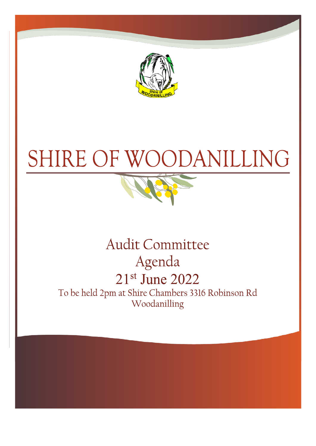



# **Audit Committee** Agenda 21st June 2022

To be held 2pm at Shire Chambers 3316 Robinson Rd Woodanilling

**CHIEF EXECUTIVE OF EXECUTIVE OF**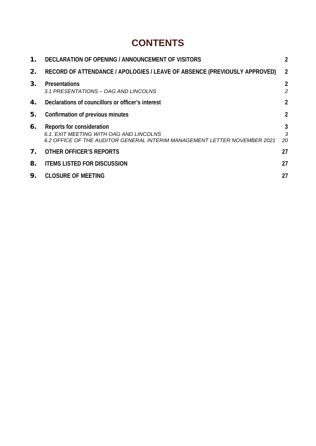# **CONTENTS**

| 1.             | DECLARATION OF OPENING / ANNOUNCEMENT OF VISITORS                                                                                                 | $\overline{2}$      |
|----------------|---------------------------------------------------------------------------------------------------------------------------------------------------|---------------------|
| 2.             | RECORD OF ATTENDANCE / APOLOGIES / LEAVE OF ABSENCE (PREVIOUSLY APPROVED)                                                                         | $\overline{2}$      |
| 3.             | <b>Presentations</b><br>3.1 PRESENTATIONS - OAG AND LINCOLNS                                                                                      | $\overline{2}$<br>2 |
| 4.             | Declarations of councillors or officer's interest                                                                                                 | $\overline{2}$      |
| 5.             | Confirmation of previous minutes                                                                                                                  | $\overline{2}$      |
| 6.             | Reports for consideration<br>6.1. EXIT MEETING WITH OAG AND LINCOLNS<br>6.2 OFFICE OF THE AUDITOR GENERAL INTERIM MANAGEMENT LETTER NOVEMBER 2021 | 3<br>3<br>20        |
| 7 <sub>1</sub> | OTHER OFFICER'S REPORTS                                                                                                                           | 27                  |
| 8.             | <b>ITEMS LISTED FOR DISCUSSION</b>                                                                                                                | 27                  |
| 9.             | <b>CLOSURE OF MEETING</b>                                                                                                                         | 27                  |
|                |                                                                                                                                                   |                     |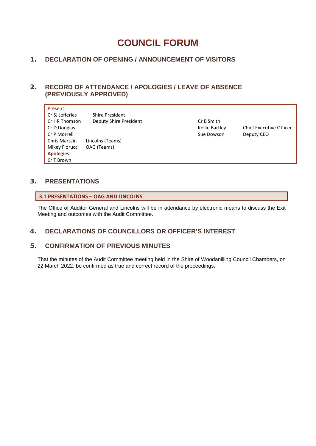# **COUNCIL FORUM**

# <span id="page-2-0"></span>1. **DECLARATION OF OPENING / ANNOUNCEMENT OF VISITORS**

# <span id="page-2-1"></span>2. **RECORD OF ATTENDANCE / APOLOGIES / LEAVE OF ABSENCE (PREVIOUSLY APPROVED)**

| Present:          |                        |                |                                |
|-------------------|------------------------|----------------|--------------------------------|
| Cr SJ Jefferies   | Shire President        |                |                                |
| Cr HR Thomson     | Deputy Shire President | Cr B Smith     |                                |
| Cr D Douglas      |                        | Kellie Bartley | <b>Chief Executive Officer</b> |
| Cr P Morrell      |                        | Sue Dowson     | Deputy CEO                     |
| Chris Martain     | Lincolns (Teams)       |                |                                |
| Mikey Fiorucci    | OAG (Teams)            |                |                                |
| <b>Apologies:</b> |                        |                |                                |
| Cr T Brown        |                        |                |                                |

# <span id="page-2-2"></span>3. **PRESENTATIONS**

# <span id="page-2-3"></span>**3.1 PRESENTATIONS – OAG AND LINCOLNS**

The Office of Auditor General and Lincolns will be in attendance by electronic means to discuss the Exit Meeting and outcomes with the Audit Committee.

# <span id="page-2-4"></span>4. **DECLARATIONS OF COUNCILLORS OR OFFICER'S INTEREST**

# <span id="page-2-5"></span>5. **CONFIRMATION OF PREVIOUS MINUTES**

That the minutes of the Audit Committee meeting held in the Shire of Woodanilling Council Chambers, on 22 March 2022, be confirmed as true and correct record of the proceedings.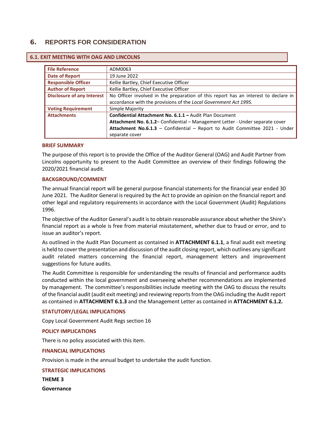# <span id="page-3-0"></span>6. **REPORTS FOR CONSIDERATION**

| <b>EALL IVIEE LING WITH OAG AND LINCOLNS</b> |                                                                                     |  |
|----------------------------------------------|-------------------------------------------------------------------------------------|--|
|                                              |                                                                                     |  |
| <b>File Reference</b>                        | ADM0063                                                                             |  |
| <b>Date of Report</b>                        | 19 June 2022                                                                        |  |
| <b>Responsible Officer</b>                   | Kellie Bartley, Chief Executive Officer                                             |  |
| <b>Author of Report</b>                      | Kellie Bartley, Chief Executive Officer                                             |  |
| <b>Disclosure of any Interest</b>            | No Officer involved in the preparation of this report has an interest to declare in |  |
|                                              | accordance with the provisions of the Local Government Act 1995.                    |  |
| <b>Voting Requirement</b>                    | Simple Majority                                                                     |  |
| <b>Attachments</b>                           | Confidential Attachment No. 6.1.1 - Audit Plan Document                             |  |
|                                              | Attachment No. 6.1.2- Confidential - Management Letter - Under separate cover       |  |
|                                              | Attachment No.6.1.3 - Confidential - Report to Audit Committee 2021 - Under         |  |
|                                              | separate cover                                                                      |  |

# <span id="page-3-1"></span>**6.1. EXIT MEETING WITH OAG AND LINCOLNS**

### **BRIEF SUMMARY**

The purpose of this report is to provide the Office of the Auditor General (OAG) and Audit Partner from Lincolns opportunity to present to the Audit Committee an overview of their findings following the 2020/2021 financial audit.

### **BACKGROUND/COMMENT**

The annual financial report will be general purpose financial statements for the financial year ended 30 June 2021. The Auditor General is required by the Act to provide an opinion on the financial report and other legal and regulatory requirements in accordance with the Local Government (Audit) Regulations 1996.

The objective of the Auditor General's audit is to obtain reasonable assurance about whether the Shire's financial report as a whole is free from material misstatement, whether due to fraud or error, and to issue an auditor's report.

As outlined in the Audit Plan Document as contained in **ATTACHMENT 6.1.1**, a final audit exit meeting is held to cover the presentation and discussion of the audit closing report, which outlines any significant audit related matters concerning the financial report, management letters and improvement suggestions for future audits.

The Audit Committee is responsible for understanding the results of financial and performance audits conducted within the local government and overseeing whether recommendations are implemented by management. The committee's responsibilities include meeting with the OAG to discuss the results of the financial audit (audit exit meeting) and reviewing reports from the OAG including the Audit report as contained in **ATTACHMENT 6.1.3** and the Management Letter as contained in **ATTACHMENT 6.1.2.**

#### **STATUTORY/LEGAL IMPLICATIONS**

Copy Local Government Audit Regs section 16

#### **POLICY IMPLICATIONS**

There is no policy associated with this item.

#### **FINANCIAL IMPLICATIONS**

Provision is made in the annual budget to undertake the audit function.

#### **STRATEGIC IMPLICATIONS**

**THEME 3**

**Governance**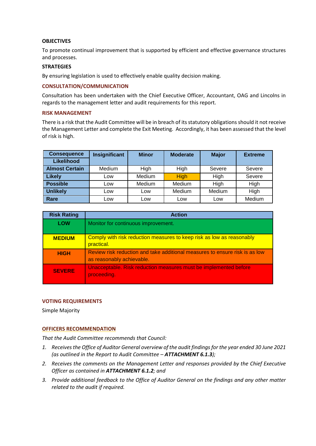## **OBJECTIVES**

To promote continual improvement that is supported by efficient and effective governance structures and processes.

### **STRATEGIES**

By ensuring legislation is used to effectively enable quality decision making.

## **CONSULTATION/COMMUNICATION**

Consultation has been undertaken with the Chief Executive Officer, Accountant, OAG and Lincolns in regards to the management letter and audit requirements for this report.

### **RISK MANAGEMENT**

There is a risk that the Audit Committee will be in breach of its statutory obligations should it not receive the Management Letter and complete the Exit Meeting. Accordingly, it has been assessed that the level of risk is high.

| <b>Consequence</b>    | Insignificant | <b>Minor</b>  | <b>Moderate</b> | <b>Major</b>  | <b>Extreme</b> |
|-----------------------|---------------|---------------|-----------------|---------------|----------------|
| <b>Likelihood</b>     |               |               |                 |               |                |
| <b>Almost Certain</b> | Medium        | High          | High            | Severe        | Severe         |
| <b>Likely</b>         | LOW           | <b>Medium</b> | <b>High</b>     | High          | Severe         |
| <b>Possible</b>       | Low           | Medium        | Medium          | High          | High           |
| <b>Unlikely</b>       | LOW           | Low           | Medium          | <b>Medium</b> | High           |
| Rare                  | Low           | Low           | Low             | Low           | Medium         |

| <b>Risk Rating</b> | <b>Action</b>                                                                                            |
|--------------------|----------------------------------------------------------------------------------------------------------|
| <b>LOW</b>         | Monitor for continuous improvement.                                                                      |
| <b>MEDIUM</b>      | Comply with risk reduction measures to keep risk as low as reasonably<br>practical.                      |
| <b>HIGH</b>        | Review risk reduction and take additional measures to ensure risk is as low<br>as reasonably achievable. |
| <b>SEVERE</b>      | Unacceptable. Risk reduction measures must be implemented before<br>proceeding.                          |

## **VOTING REQUIREMENTS**

Simple Majority

## **OFFICERS RECOMMENDATION**

*That the Audit Committee recommends that Council:*

- *1. Receivesthe Office of Auditor General overview of the audit findingsfor the year ended 30 June 2021 (as outlined in the Report to Audit Committee – ATTACHMENT 6.1.3);*
- *2. Receives the comments on the Management Letter and responses provided by the Chief Executive Officer as contained in ATTACHMENT 6.1.2; and*
- *3. Provide additional feedback to the Office of Auditor General on the findings and any other matter related to the audit if required.*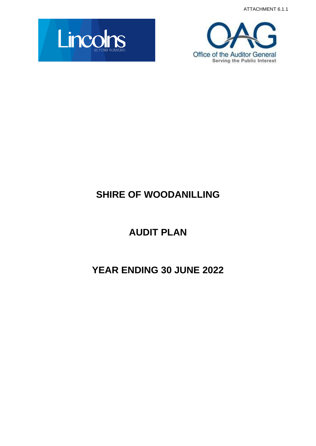ATTACHMENT 6.1.1





# **SHIRE OF WOODANILLING**

# **AUDIT PLAN**

# **YEAR ENDING 30 JUNE 2022**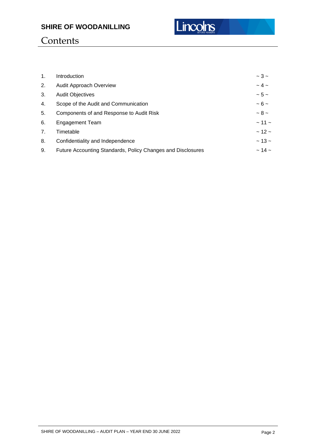

# **Contents**

| $\mathbf{1}$ . | Introduction                                                | $\sim$ 3 $\sim$  |
|----------------|-------------------------------------------------------------|------------------|
| 2.             | Audit Approach Overview                                     | $\sim$ 4 $\sim$  |
| 3.             | <b>Audit Objectives</b>                                     | $\sim$ 5 $\sim$  |
| 4.             | Scope of the Audit and Communication                        | $~5$ –           |
| 5.             | Components of and Response to Audit Risk                    | $~1$ – 8 –       |
| 6.             | <b>Engagement Team</b>                                      | $\sim$ 11 $\sim$ |
| 7.             | Timetable                                                   | $~12 -$          |
| 8.             | Confidentiality and Independence                            | $\sim$ 13 $\sim$ |
| 9.             | Future Accounting Standards, Policy Changes and Disclosures | $\sim$ 14 $\sim$ |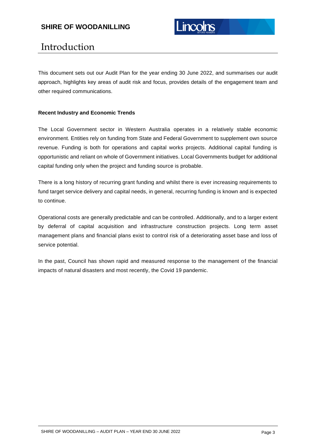# Introduction

This document sets out our Audit Plan for the year ending 30 June 2022, and summarises our audit approach, highlights key areas of audit risk and focus, provides details of the engagement team and other required communications.

# **Recent Industry and Economic Trends**

The Local Government sector in Western Australia operates in a relatively stable economic environment. Entities rely on funding from State and Federal Government to supplement own source revenue. Funding is both for operations and capital works projects. Additional capital funding is opportunistic and reliant on whole of Government initiatives. Local Governments budget for additional capital funding only when the project and funding source is probable.

There is a long history of recurring grant funding and whilst there is ever increasing requirements to fund target service delivery and capital needs, in general, recurring funding is known and is expected to continue.

Operational costs are generally predictable and can be controlled. Additionally, and to a larger extent by deferral of capital acquisition and infrastructure construction projects. Long term asset management plans and financial plans exist to control risk of a deteriorating asset base and loss of service potential.

In the past, Council has shown rapid and measured response to the management of the financial impacts of natural disasters and most recently, the Covid 19 pandemic.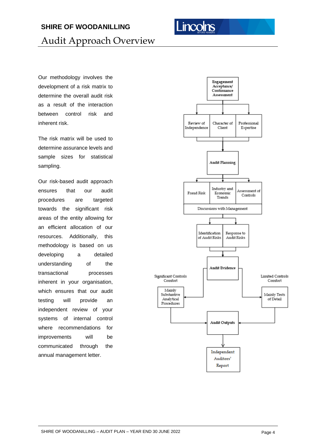# inco

# **SHIRE OF WOODANILLING**

Audit Approach Overview

Our methodology involves the development of a risk matrix to determine the overall audit risk as a result of the interaction between control risk and inherent risk.

The risk matrix will be used to determine assurance levels and sample sizes for statistical sampling.

Our risk-based audit approach ensures that our audit procedures are targeted towards the significant risk areas of the entity allowing for an efficient allocation of our resources. Additionally, this methodology is based on us developing a detailed understanding of the transactional processes inherent in your organisation, which ensures that our audit testing will provide an independent review of your systems of internal control where recommendations for improvements will be communicated through the annual management letter.

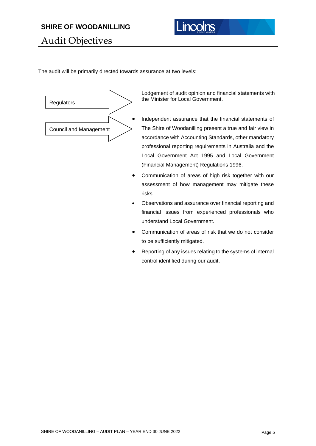

Audit Objectives

The audit will be primarily directed towards assurance at two levels:



Lodgement of audit opinion and financial statements with the Minister for Local Government.

- Independent assurance that the financial statements of The Shire of Woodanilling present a true and fair view in accordance with Accounting Standards, other mandatory professional reporting requirements in Australia and the Local Government Act 1995 and Local Government (Financial Management) Regulations 1996.
- Communication of areas of high risk together with our assessment of how management may mitigate these risks.
- Observations and assurance over financial reporting and financial issues from experienced professionals who understand Local Government.
- Communication of areas of risk that we do not consider to be sufficiently mitigated.
- Reporting of any issues relating to the systems of internal control identified during our audit.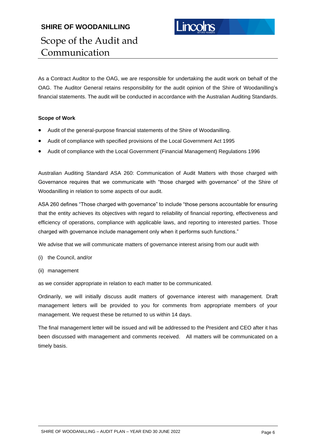# **SHIRE OF WOODANILLING** Scope of the Audit and Communication

As a Contract Auditor to the OAG, we are responsible for undertaking the audit work on behalf of the OAG. The Auditor General retains responsibility for the audit opinion of the Shire of Woodanilling's financial statements. The audit will be conducted in accordance with the Australian Auditing Standards.

# **Scope of Work**

- Audit of the general-purpose financial statements of the Shire of Woodanilling.
- Audit of compliance with specified provisions of the Local Government Act 1995
- Audit of compliance with the Local Government (Financial Management) Regulations 1996

Australian Auditing Standard ASA 260: Communication of Audit Matters with those charged with Governance requires that we communicate with "those charged with governance" of the Shire of Woodanilling in relation to some aspects of our audit.

ASA 260 defines "Those charged with governance" to include "those persons accountable for ensuring that the entity achieves its objectives with regard to reliability of financial reporting, effectiveness and efficiency of operations, compliance with applicable laws, and reporting to interested parties. Those charged with governance include management only when it performs such functions."

We advise that we will communicate matters of governance interest arising from our audit with

- (i) the Council, and/or
- (ii) management

as we consider appropriate in relation to each matter to be communicated.

Ordinarily, we will initially discuss audit matters of governance interest with management. Draft management letters will be provided to you for comments from appropriate members of your management. We request these be returned to us within 14 days.

The final management letter will be issued and will be addressed to the President and CEO after it has been discussed with management and comments received. All matters will be communicated on a timely basis.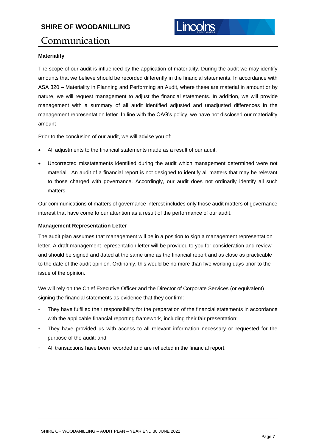# Communication

# **Materiality**

The scope of our audit is influenced by the application of materiality. During the audit we may identify amounts that we believe should be recorded differently in the financial statements. In accordance with ASA 320 – Materiality in Planning and Performing an Audit, where these are material in amount or by nature, we will request management to adjust the financial statements. In addition, we will provide management with a summary of all audit identified adjusted and unadjusted differences in the management representation letter. In line with the OAG's policy, we have not disclosed our materiality amount

Prior to the conclusion of our audit, we will advise you of:

- All adjustments to the financial statements made as a result of our audit.
- Uncorrected misstatements identified during the audit which management determined were not material. An audit of a financial report is not designed to identify all matters that may be relevant to those charged with governance. Accordingly, our audit does not ordinarily identify all such matters.

Our communications of matters of governance interest includes only those audit matters of governance interest that have come to our attention as a result of the performance of our audit.

# **Management Representation Letter**

The audit plan assumes that management will be in a position to sign a management representation letter. A draft management representation letter will be provided to you for consideration and review and should be signed and dated at the same time as the financial report and as close as practicable to the date of the audit opinion. Ordinarily, this would be no more than five working days prior to the issue of the opinion.

We will rely on the Chief Executive Officer and the Director of Corporate Services (or equivalent) signing the financial statements as evidence that they confirm:

- They have fulfilled their responsibility for the preparation of the financial statements in accordance with the applicable financial reporting framework, including their fair presentation;
- They have provided us with access to all relevant information necessary or requested for the purpose of the audit; and
- All transactions have been recorded and are reflected in the financial report.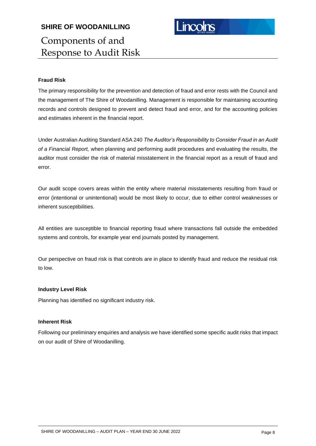# **Fraud Risk**

The primary responsibility for the prevention and detection of fraud and error rests with the Council and the management of The Shire of Woodanilling. Management is responsible for maintaining accounting records and controls designed to prevent and detect fraud and error, and for the accounting policies and estimates inherent in the financial report.

Under Australian Auditing Standard ASA 240 *The Auditor's Responsibility to Consider Fraud in an Audit of a Financial Report,* when planning and performing audit procedures and evaluating the results, the auditor must consider the risk of material misstatement in the financial report as a result of fraud and error.

Our audit scope covers areas within the entity where material misstatements resulting from fraud or error (intentional or unintentional) would be most likely to occur, due to either control weaknesses or inherent susceptibilities.

All entities are susceptible to financial reporting fraud where transactions fall outside the embedded systems and controls, for example year end journals posted by management.

Our perspective on fraud risk is that controls are in place to identify fraud and reduce the residual risk to low.

## **Industry Level Risk**

Planning has identified no significant industry risk.

# **Inherent Risk**

Following our preliminary enquiries and analysis we have identified some specific audit risks that impact on our audit of Shire of Woodanilling.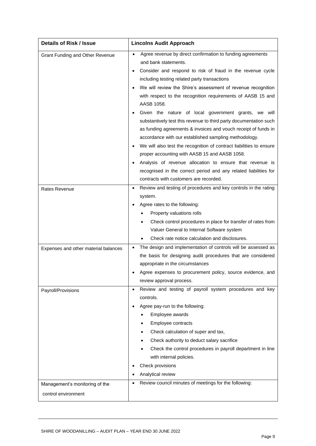| <b>Details of Risk / Issue</b>         | <b>Lincolns Audit Approach</b>                                                                                                                                                                                                                                                                                                                                                                                                                                                                                            |
|----------------------------------------|---------------------------------------------------------------------------------------------------------------------------------------------------------------------------------------------------------------------------------------------------------------------------------------------------------------------------------------------------------------------------------------------------------------------------------------------------------------------------------------------------------------------------|
| <b>Grant Funding and Other Revenue</b> | Agree revenue by direct confirmation to funding agreements<br>and bank statements.<br>Consider and respond to risk of fraud in the revenue cycle<br>$\bullet$<br>including testing related party transactions<br>We will review the Shire's assessment of revenue recognition<br>with respect to the recognition requirements of AASB 15 and<br>AASB 1058.                                                                                                                                                                |
|                                        | Given the nature of local government grants, we will<br>$\bullet$<br>substantively test this revenue to third party documentation such<br>as funding agreements & invoices and vouch receipt of funds in<br>accordance with our established sampling methodology.<br>We will also test the recognition of contract liabilities to ensure<br>proper accounting with AASB 15 and AASB 1058.<br>Analysis of revenue allocation to ensure that revenue is<br>recognised in the correct period and any related liabilities for |
|                                        | contracts with customers are recorded.                                                                                                                                                                                                                                                                                                                                                                                                                                                                                    |
| Rates Revenue                          | Review and testing of procedures and key controls in the rating<br>$\bullet$<br>system.<br>Agree rates to the following:<br>Property valuations rolls<br>Check control procedures in place for transfer of rates from<br>Valuer General to Internal Software system<br>Check rate notice calculation and disclosures.                                                                                                                                                                                                     |
| Expenses and other material balances   | The design and implementation of controls will be assessed as<br>the basis for designing audit procedures that are considered<br>appropriate in the circumstances<br>Agree expenses to procurement policy, source evidence, and<br>review approval process.                                                                                                                                                                                                                                                               |
| Payroll/Provisions                     | Review and testing of payroll system procedures and key<br>$\bullet$<br>controls.<br>Agree pay-run to the following:<br>Employee awards<br>$\bullet$<br>Employee contracts<br>Check calculation of super and tax,<br>Check authority to deduct salary sacrifice<br>Check the control procedures in payroll department in line<br>with internal policies.<br>Check provisions<br>Analytical review                                                                                                                         |
| Management's monitoring of the         | Review council minutes of meetings for the following:<br>$\bullet$                                                                                                                                                                                                                                                                                                                                                                                                                                                        |
| control environment                    |                                                                                                                                                                                                                                                                                                                                                                                                                                                                                                                           |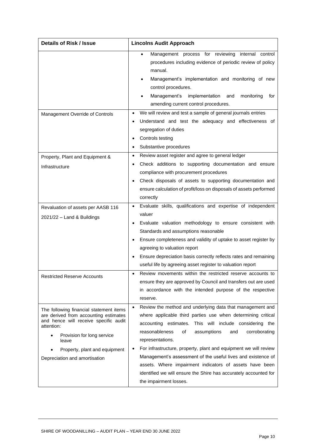| <b>Details of Risk / Issue</b>                                                                                                                                                                                                                   | <b>Lincolns Audit Approach</b>                                                                                                                                                                                                                                                                                                                                                                                                                                                                                                                                                    |  |
|--------------------------------------------------------------------------------------------------------------------------------------------------------------------------------------------------------------------------------------------------|-----------------------------------------------------------------------------------------------------------------------------------------------------------------------------------------------------------------------------------------------------------------------------------------------------------------------------------------------------------------------------------------------------------------------------------------------------------------------------------------------------------------------------------------------------------------------------------|--|
|                                                                                                                                                                                                                                                  | Management process for reviewing internal control<br>$\bullet$<br>procedures including evidence of periodic review of policy<br>manual.<br>Management's implementation and monitoring of new<br>control procedures.<br>Management's<br>implementation<br>monitoring<br>and<br>for<br>amending current control procedures.                                                                                                                                                                                                                                                         |  |
| Management Override of Controls                                                                                                                                                                                                                  | We will review and test a sample of general journals entries<br>$\bullet$<br>Understand and test the adequacy and effectiveness of<br>segregation of duties<br>Controls testing<br>Substantive procedures                                                                                                                                                                                                                                                                                                                                                                         |  |
| Property, Plant and Equipment &<br>Infrastructure                                                                                                                                                                                                | Review asset register and agree to general ledger<br>$\bullet$<br>Check additions to supporting documentation and ensure<br>compliance with procurement procedures<br>Check disposals of assets to supporting documentation and<br>ensure calculation of profit/loss on disposals of assets performed<br>correctly                                                                                                                                                                                                                                                                |  |
| Revaluation of assets per AASB 116<br>2021/22 - Land & Buildings                                                                                                                                                                                 | Evaluate skills, qualifications and expertise of independent<br>valuer<br>Evaluate valuation methodology to ensure consistent with<br>Standards and assumptions reasonable<br>Ensure completeness and validity of uptake to asset register by<br>agreeing to valuation report<br>Ensure depreciation basis correctly reflects rates and remaining<br>useful life by agreeing asset register to valuation report                                                                                                                                                                   |  |
| <b>Restricted Reserve Accounts</b>                                                                                                                                                                                                               | Review movements within the restricted reserve accounts to<br>ensure they are approved by Council and transfers out are used<br>in accordance with the intended purpose of the respective<br>reserve.                                                                                                                                                                                                                                                                                                                                                                             |  |
| The following financial statement items<br>are derived from accounting estimates<br>and hence will receive specific audit<br>attention:<br>Provision for long service<br>leave<br>Property, plant and equipment<br>Depreciation and amortisation | Review the method and underlying data that management and<br>$\bullet$<br>where applicable third parties use when determining critical<br>accounting estimates. This will include considering the<br>reasonableness<br>of<br>assumptions<br>and<br>corroborating<br>representations.<br>For infrastructure, property, plant and equipment we will review<br>Management's assessment of the useful lives and existence of<br>assets. Where impairment indicators of assets have been<br>identified we will ensure the Shire has accurately accounted for<br>the impairment losses. |  |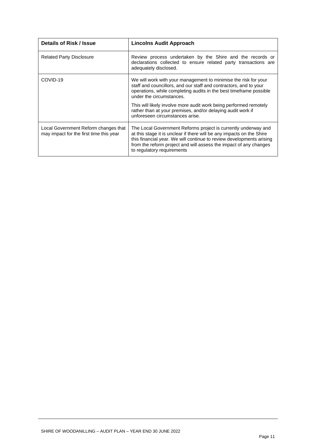| Details of Risk / Issue                                                         | <b>Lincolns Audit Approach</b>                                                                                                                                                                                                                                                                                     |
|---------------------------------------------------------------------------------|--------------------------------------------------------------------------------------------------------------------------------------------------------------------------------------------------------------------------------------------------------------------------------------------------------------------|
| <b>Related Party Disclosure</b>                                                 | Review process undertaken by the Shire and the records or<br>declarations collected to ensure related party transactions are<br>adequately disclosed.                                                                                                                                                              |
| COVID-19                                                                        | We will work with your management to minimise the risk for your<br>staff and councillors, and our staff and contractors, and to your<br>operations, while completing audits in the best timeframe possible<br>under the circumstances.                                                                             |
|                                                                                 | This will likely involve more audit work being performed remotely<br>rather than at your premises, and/or delaying audit work if<br>unforeseen circumstances arise.                                                                                                                                                |
| Local Government Reform changes that<br>may impact for the first time this year | The Local Government Reforms project is currently underway and<br>at this stage it is unclear if there will be any impacts on the Shire<br>this financial year. We will continue to review developments arising<br>from the reform project and will assess the impact of any changes<br>to regulatory requirements |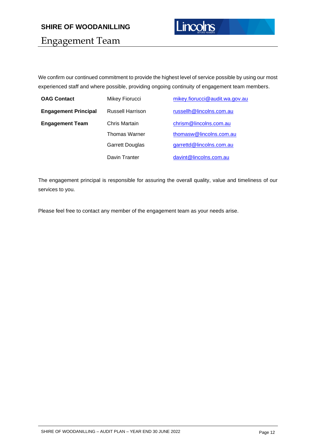

Engagement Team

We confirm our continued commitment to provide the highest level of service possible by using our most experienced staff and where possible, providing ongoing continuity of engagement team members.

| <b>OAG Contact</b>          | Mikey Fiorucci          | mikey.fiorucci@audit.wa.gov.au |
|-----------------------------|-------------------------|--------------------------------|
| <b>Engagement Principal</b> | <b>Russell Harrison</b> | russellh@lincolns.com.au       |
| <b>Engagement Team</b>      | Chris Martain           | chrism@lincolns.com.au         |
|                             | <b>Thomas Warner</b>    | thomasw@lincolns.com.au        |
|                             | <b>Garrett Douglas</b>  | garrettd@lincolns.com.au       |
|                             | Davin Tranter           | davint@lincolns.com.au         |

The engagement principal is responsible for assuring the overall quality, value and timeliness of our services to you.

Please feel free to contact any member of the engagement team as your needs arise.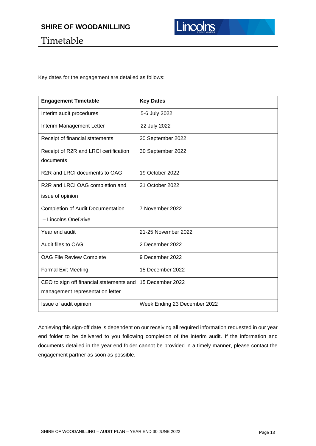

# Timetable

Key dates for the engagement are detailed as follows:

| <b>Engagement Timetable</b>                        | <b>Key Dates</b>             |
|----------------------------------------------------|------------------------------|
| Interim audit procedures                           | 5-6 July 2022                |
| Interim Management Letter                          | 22 July 2022                 |
| Receipt of financial statements                    | 30 September 2022            |
| Receipt of R2R and LRCI certification<br>documents | 30 September 2022            |
|                                                    |                              |
| R <sub>2</sub> R and LRCI documents to OAG         | 19 October 2022              |
| R2R and LRCI OAG completion and                    | 31 October 2022              |
| issue of opinion                                   |                              |
| <b>Completion of Audit Documentation</b>           | 7 November 2022              |
| - Lincolns OneDrive                                |                              |
| Year end audit                                     | 21-25 November 2022          |
| Audit files to OAG                                 | 2 December 2022              |
| OAG File Review Complete                           | 9 December 2022              |
| <b>Formal Exit Meeting</b>                         | 15 December 2022             |
| CEO to sign off financial statements and           | 15 December 2022             |
| management representation letter                   |                              |
| Issue of audit opinion                             | Week Ending 23 December 2022 |

Achieving this sign-off date is dependent on our receiving all required information requested in our year end folder to be delivered to you following completion of the interim audit. If the information and documents detailed in the year end folder cannot be provided in a timely manner, please contact the engagement partner as soon as possible.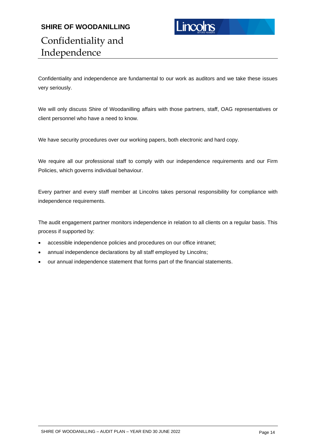# **SHIRE OF WOODANILLING** Confidentiality and Independence



Confidentiality and independence are fundamental to our work as auditors and we take these issues very seriously.

We will only discuss Shire of Woodanilling affairs with those partners, staff, OAG representatives or client personnel who have a need to know.

We have security procedures over our working papers, both electronic and hard copy.

We require all our professional staff to comply with our independence requirements and our Firm Policies, which governs individual behaviour.

Every partner and every staff member at Lincolns takes personal responsibility for compliance with independence requirements.

The audit engagement partner monitors independence in relation to all clients on a regular basis. This process if supported by:

- accessible independence policies and procedures on our office intranet;
- annual independence declarations by all staff employed by Lincolns;
- our annual independence statement that forms part of the financial statements.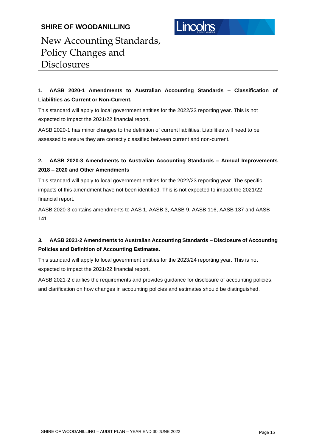

# New Accounting Standards, Policy Changes and Disclosures

# **1. AASB 2020-1 Amendments to Australian Accounting Standards – Classification of Liabilities as Current or Non-Current.**

This standard will apply to local government entities for the 2022/23 reporting year. This is not expected to impact the 2021/22 financial report.

AASB 2020-1 has minor changes to the definition of current liabilities. Liabilities will need to be assessed to ensure they are correctly classified between current and non-current.

# **2. AASB 2020-3 Amendments to Australian Accounting Standards – Annual Improvements 2018 – 2020 and Other Amendments**

This standard will apply to local government entities for the 2022/23 reporting year. The specific impacts of this amendment have not been identified. This is not expected to impact the 2021/22 financial report.

AASB 2020-3 contains amendments to AAS 1, AASB 3, AASB 9, AASB 116, AASB 137 and AASB 141.

# **3. AASB 2021-2 Amendments to Australian Accounting Standards – Disclosure of Accounting Policies and Definition of Accounting Estimates.**

This standard will apply to local government entities for the 2023/24 reporting year. This is not expected to impact the 2021/22 financial report.

AASB 2021-2 clarifies the requirements and provides guidance for disclosure of accounting policies, and clarification on how changes in accounting policies and estimates should be distinguished.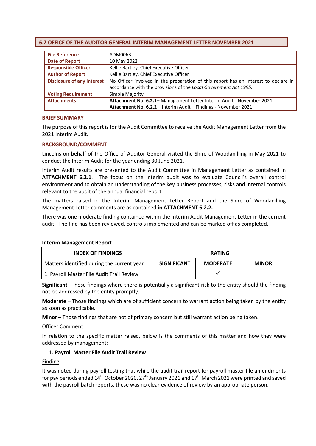# <span id="page-20-0"></span>**6.2 OFFICE OF THE AUDITOR GENERAL INTERIM MANAGEMENT LETTER NOVEMBER 2021**

| <b>File Reference</b>                                                                                                    | ADM0063                                                          |
|--------------------------------------------------------------------------------------------------------------------------|------------------------------------------------------------------|
| <b>Date of Report</b><br>10 May 2022                                                                                     |                                                                  |
| <b>Responsible Officer</b><br>Kellie Bartley, Chief Executive Officer                                                    |                                                                  |
| <b>Author of Report</b>                                                                                                  | Kellie Bartley, Chief Executive Officer                          |
| <b>Disclosure of any Interest</b><br>No Officer involved in the preparation of this report has an interest to declare in |                                                                  |
|                                                                                                                          | accordance with the provisions of the Local Government Act 1995. |
| <b>Voting Requirement</b>                                                                                                | Simple Majority                                                  |
| <b>Attachments</b><br>Attachment No. 6.2.1-Management Letter Interim Audit - November 2021                               |                                                                  |
|                                                                                                                          | Attachment No. 6.2.2 - Interim Audit - Findings - November 2021  |

### **BRIEF SUMMARY**

The purpose of this report is for the Audit Committee to receive the Audit Management Letter from the 2021 Interim Audit.

## **BACKGROUND/COMMENT**

Lincolns on behalf of the Office of Auditor General visited the Shire of Woodanilling in May 2021 to conduct the Interim Audit for the year ending 30 June 2021.

Interim Audit results are presented to the Audit Committee in Management Letter as contained in **ATTACHMENT 6.2.1**. The focus on the interim audit was to evaluate Council's overall control environment and to obtain an understanding of the key business processes, risks and internal controls relevant to the audit of the annual financial report.

The matters raised in the Interim Management Letter Report and the Shire of Woodanilling Management Letter comments are as contained **in ATTACHMENT 6.2.2.**

There was one moderate finding contained within the Interim Audit Management Letter in the current audit. The find has been reviewed, controls implemented and can be marked off as completed.

#### **Interim Management Report**

| <b>INDEX OF FINDINGS</b>                   | <b>RATING</b>      |                 |              |
|--------------------------------------------|--------------------|-----------------|--------------|
| Matters identified during the current year | <b>SIGNIFICANT</b> | <b>MODERATE</b> | <b>MINOR</b> |
| 1. Payroll Master File Audit Trail Review  |                    |                 |              |

**Significant**- Those findings where there is potentially a significant risk to the entity should the finding not be addressed by the entity promptly.

**Moderate** – Those findings which are of sufficient concern to warrant action being taken by the entity as soon as practicable.

**Minor** – Those findings that are not of primary concern but still warrant action being taken.

## Officer Comment

In relation to the specific matter raised, below is the comments of this matter and how they were addressed by management:

## **1. Payroll Master File Audit Trail Review**

## **Finding**

It was noted during payroll testing that while the audit trail report for payroll master file amendments for pay periods ended 14<sup>th</sup> October 2020, 27<sup>th</sup> January 2021 and 17<sup>th</sup> March 2021 were printed and saved with the payroll batch reports, these was no clear evidence of review by an appropriate person.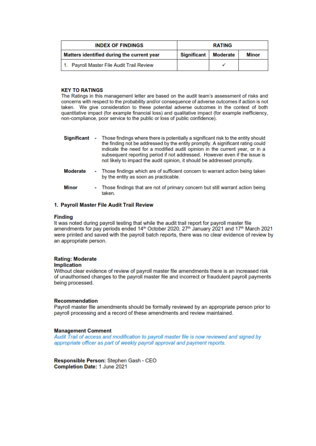| <b>INDEX OF FINDINGS</b><br><b>RATING</b>  |                    |                 |       |
|--------------------------------------------|--------------------|-----------------|-------|
| Matters identified during the current year | <b>Significant</b> | <b>Moderate</b> | Minor |
| 1. Payroll Master File Audit Trail Review  |                    |                 |       |

# **KEY TO RATINGS**

The Ratings in this management letter are based on the audit team's assessment of risks and concerns with respect to the probability and/or consequence of adverse outcomes if action is not taken. We give consideration to these potential adverse outcomes in the context of both quantitative impact (for example financial loss) and qualitative impact (for example inefficiency, non-compliance, poor service to the public or loss of public confidence).

- Significant Those findings where there is potentially a significant risk to the entity should the finding not be addressed by the entity promptly. A significant rating could indicate the need for a modified audit opinion in the current year, or in a subsequent reporting period if not addressed. However even if the issue is not likely to impact the audit opinion, it should be addressed promptly.
- **Moderate** - Those findings which are of sufficient concern to warrant action being taken by the entity as soon as practicable.
- **Minor** - Those findings that are not of primary concern but still warrant action being taken.

### 1. Payroll Master File Audit Trail Review

#### **Finding**

It was noted during payroll testing that while the audit trail report for payroll master file amendments for pay periods ended 14<sup>th</sup> October 2020, 27<sup>th</sup> January 2021 and 17<sup>th</sup> March 2021 were printed and saved with the payroll batch reports, there was no clear evidence of review by an appropriate person.

#### **Rating: Moderate**

#### **Implication**

Without clear evidence of review of payroll master file amendments there is an increased risk of unauthorised changes to the payroll master file and incorrect or fraudulent payroll payments being processed.

#### **Recommendation**

Payroll master file amendments should be formally reviewed by an appropriate person prior to payroll processing and a record of these amendments and review maintained.

#### **Management Comment**

Audit Trail of access and modification to payroll master file is now reviewed and signed by appropriate officer as part of weekly payroll approval and payment reports.

Responsible Person: Stephen Gash - CEO Completion Date: 1 June 2021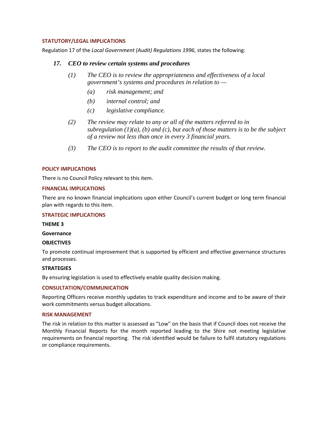## **STATUTORY/LEGAL IMPLICATIONS**

Regulation 17 of the *Local Government (Audit) Regulations 1996*, states the following:

# *17. CEO to review certain systems and procedures*

- *(1) The CEO is to review the appropriateness and effectiveness of a local government's systems and procedures in relation to —*
	- *(a) risk management; and*
	- *(b) internal control; and*
	- *(c) legislative compliance.*
- *(2) The review may relate to any or all of the matters referred to in subregulation (1)(a), (b) and (c), but each of those matters is to be the subject of a review not less than once in every 3 financial years.*
- *(3) The CEO is to report to the audit committee the results of that review.*

### **POLICY IMPLICATIONS**

There is no Council Policy relevant to this item.

#### **FINANCIAL IMPLICATIONS**

There are no known financial implications upon either Council's current budget or long term financial plan with regards to this item.

### **STRATEGIC IMPLICATIONS**

**THEME 3**

**Governance**

#### **OBJECTIVES**

To promote continual improvement that is supported by efficient and effective governance structures and processes.

#### **STRATEGIES**

By ensuring legislation is used to effectively enable quality decision making.

## **CONSULTATION/COMMUNICATION**

Reporting Officers receive monthly updates to track expenditure and income and to be aware of their work commitments versus budget allocations.

#### **RISK MANAGEMENT**

The risk in relation to this matter is assessed as "Low" on the basis that if Council does not receive the Monthly Financial Reports for the month reported leading to the Shire not meeting legislative requirements on financial reporting. The risk identified would be failure to fulfil statutory regulations or compliance requirements.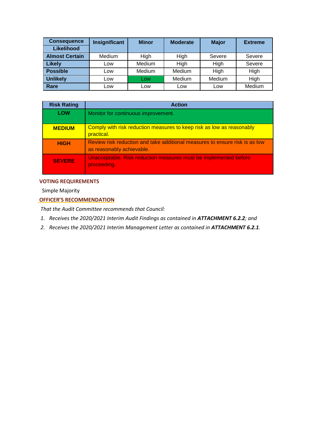| <b>Consequence</b>    | Insignificant | <b>Minor</b> | <b>Moderate</b> | <b>Major</b> | <b>Extreme</b> |
|-----------------------|---------------|--------------|-----------------|--------------|----------------|
| Likelihood            |               |              |                 |              |                |
| <b>Almost Certain</b> | Medium        | High         | High            | Severe       | Severe         |
| <b>Likely</b>         | Low           | Medium       | High            | High         | Severe         |
| <b>Possible</b>       | Low           | Medium       | Medium          | High         | High           |
| <b>Unlikely</b>       | Low           | <b>LOW</b>   | Medium          | Medium       | High           |
| Rare                  | ∟ow           | ∟ow          | Low             | Low          | Medium         |

| <b>Risk Rating</b> | <b>Action</b>                                                                                            |
|--------------------|----------------------------------------------------------------------------------------------------------|
| <b>LOW</b>         | Monitor for continuous improvement.                                                                      |
| <b>MEDIUM</b>      | Comply with risk reduction measures to keep risk as low as reasonably<br>practical.                      |
| <b>HIGH</b>        | Review risk reduction and take additional measures to ensure risk is as low<br>as reasonably achievable. |
| <b>SEVERE</b>      | Unacceptable. Risk reduction measures must be implemented before<br>proceeding.                          |

# **VOTING REQUIREMENTS**

Simple Majority

# **OFFICER'S RECOMMENDATION**

*That the Audit Committee recommends that Council:*

- *1. Receives the 2020/2021 Interim Audit Findings as contained in ATTACHMENT 6.2.2; and*
- *2. Receives the 2020/2021 Interim Management Letter as contained in ATTACHMENT 6.2.1.*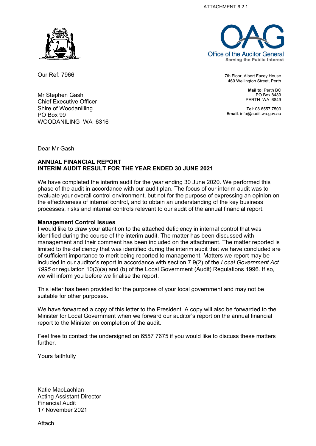ATTACHMENT 6.2.1



Our Ref: 7966

Mr Stephen Gash Chief Executive Officer Shire of Woodanilling PO Box 99 WOODANILING WA 6316



7th Floor, Albert Facey House 469 Wellington Street, Perth

> **Mail to**: Perth BC PO Box 8489 PERTH WA 6849

**Tel**: 08 6557 7500 **Email**: info@audit.wa.gov.au

Dear Mr Gash

# **ANNUAL FINANCIAL REPORT INTERIM AUDIT RESULT FOR THE YEAR ENDED 30 JUNE 2021**

We have completed the interim audit for the year ending 30 June 2020. We performed this phase of the audit in accordance with our audit plan. The focus of our interim audit was to evaluate your overall control environment, but not for the purpose of expressing an opinion on the effectiveness of internal control, and to obtain an understanding of the key business processes, risks and internal controls relevant to our audit of the annual financial report.

# **Management Control Issues**

I would like to draw your attention to the attached deficiency in internal control that was identified during the course of the interim audit. The matter has been discussed with management and their comment has been included on the attachment. The matter reported is limited to the deficiency that was identified during the interim audit that we have concluded are of sufficient importance to merit being reported to management. Matters we report may be included in our auditor's report in accordance with section 7.9(2) of the *Local Government Act 1995* or regulation 10(3)(a) and (b) of the Local Government (Audit) Regulations 1996. If so, we will inform you before we finalise the report.

This letter has been provided for the purposes of your local government and may not be suitable for other purposes.

We have forwarded a copy of this letter to the President. A copy will also be forwarded to the Minister for Local Government when we forward our auditor's report on the annual financial report to the Minister on completion of the audit.

Feel free to contact the undersigned on 6557 7675 if you would like to discuss these matters further.

Yours faithfully

Katie MacLachlan Acting Assistant Director Financial Audit 17 November 2021

Attach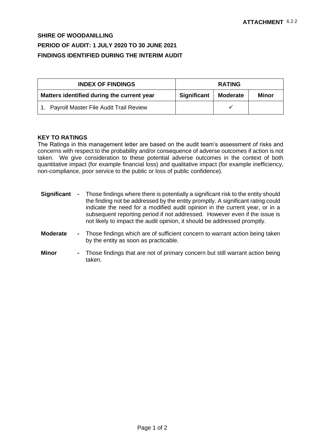# **SHIRE OF WOODANILLING PERIOD OF AUDIT: 1 JULY 2020 TO 30 JUNE 2021 FINDINGS IDENTIFIED DURING THE INTERIM AUDIT**

| <b>INDEX OF FINDINGS</b>                   | <b>RATING</b>      |                 |       |
|--------------------------------------------|--------------------|-----------------|-------|
| Matters identified during the current year | <b>Significant</b> | <b>Moderate</b> | Minor |
| 1. Payroll Master File Audit Trail Review  |                    |                 |       |

# **KEY TO RATINGS**

The Ratings in this management letter are based on the audit team's assessment of risks and concerns with respect to the probability and/or consequence of adverse outcomes if action is not taken. We give consideration to these potential adverse outcomes in the context of both quantitative impact (for example financial loss) and qualitative impact (for example inefficiency, non-compliance, poor service to the public or loss of public confidence).

- **Significant -** Those findings where there is potentially a significant risk to the entity should the finding not be addressed by the entity promptly. A significant rating could indicate the need for a modified audit opinion in the current year, or in a subsequent reporting period if not addressed. However even if the issue is not likely to impact the audit opinion, it should be addressed promptly.
- **Moderate -** Those findings which are of sufficient concern to warrant action being taken by the entity as soon as practicable.
- **Minor -** Those findings that are not of primary concern but still warrant action being taken.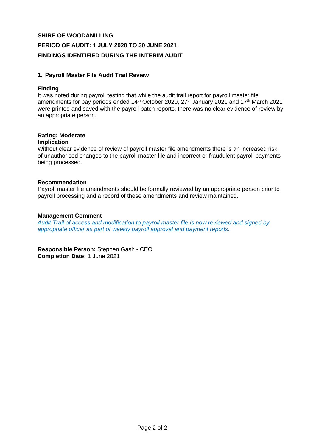# **SHIRE OF WOODANILLING PERIOD OF AUDIT: 1 JULY 2020 TO 30 JUNE 2021 FINDINGS IDENTIFIED DURING THE INTERIM AUDIT**

# **1. Payroll Master File Audit Trail Review**

# **Finding**

It was noted during payroll testing that while the audit trail report for payroll master file amendments for pay periods ended 14<sup>th</sup> October 2020, 27<sup>th</sup> January 2021 and 17<sup>th</sup> March 2021 were printed and saved with the payroll batch reports, there was no clear evidence of review by an appropriate person.

# **Rating: Moderate**

# **Implication**

Without clear evidence of review of payroll master file amendments there is an increased risk of unauthorised changes to the payroll master file and incorrect or fraudulent payroll payments being processed.

# **Recommendation**

Payroll master file amendments should be formally reviewed by an appropriate person prior to payroll processing and a record of these amendments and review maintained.

# **Management Comment**

*Audit Trail of access and modification to payroll master file is now reviewed and signed by appropriate officer as part of weekly payroll approval and payment reports.*

**Responsible Person:** Stephen Gash - CEO **Completion Date:** 1 June 2021